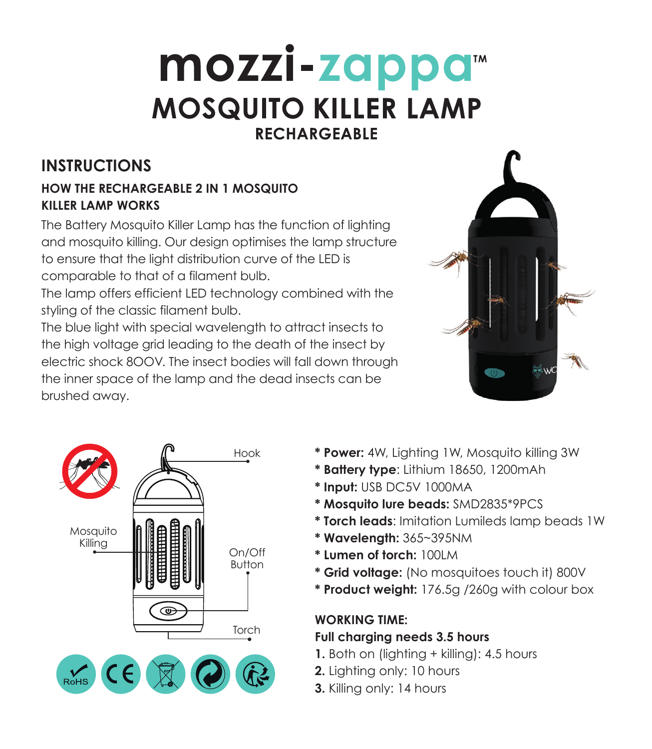# mozzi-zappa™ **MOSQUITO KILLER LAMP RECHARGEABLE**

# **INSTRUCTIONS**

#### **HOW THE RECHARGEABLE 2 IN 1 MOSQUITO KILLER LAMP WORKS**

The Battery Mosquito Killer Lamp has the function of lighting and mosquito killing. Our design optimises the lamp structure to ensure that the light distribution curve of the LED is comparable to that of a filament bulb.

The lamp offers efficient LED technology combined with the styling of the classic filament bulb.

The blue light with special wavelength to attract insects to the high voltage arid leading to the death of the insect by electric shock 8OOV. The insect bodies will fall down through the inner space of the lamp and the dead insects can be brushed away.





- **\* Power:** 4W, Lighting 1W, Mosquito killing 3W
- **\* Battery type**: Lithium 18650, 1200mAh
- **\* Input:** USB DC5V 1000MA
- **\* Mosquito lure beads:** SMD2835\*9PCS
- **\* Torch leads**: Imitation Lumileds lamp beads 1W
- **\* Wavelength:** 365~395NM
- **\* Lumen of torch:** 100LM
- **\* Grid voltage:** (No mosquitoes touch it) 800V
- **\* Product weight:** 176.5g /260g with colour box

# **WORKING TIME:**

#### **Full charging needs 3.5 hours**

- **1.** Both on (lighting + killing): 4.5 hours
- **2.** Lighting only: 10 hours
- **3.** Killing only: 14 hours